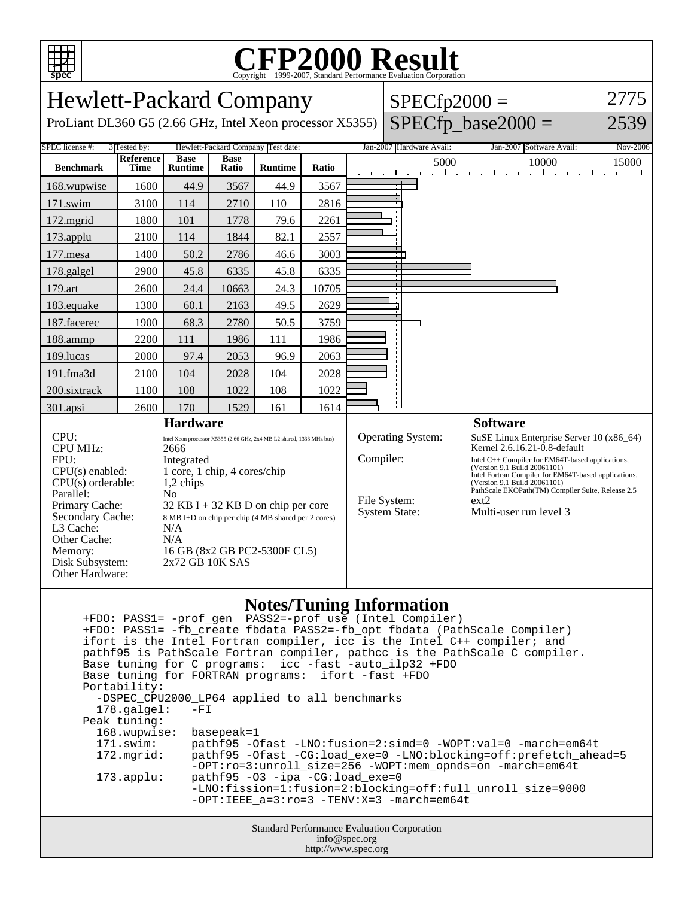

## Copyright ©1999-2007, Standard Performance Evaluation Corporation

Hewlett-Packard Company ProLiant DL360 G5 (2.66 GHz, Intel Xeon processor X5355)  $SPECfp2000 =$  $SPECfp\_base2000 =$ 2775 2539 SPEC license #: 3 Tested by: Hewlett-Packard Company Test date: Jan-2007 Hardware Avail: Jan-2007 Software Avail: Nov-2006 **Benchmark Reference Time Base Runtime Base Ratio Runtime Ratio** 5000 10000 15000 168.wupwise 1600 44.9 3567 44.9 3567 171.swim | 3100 | 114 | 2710 | 110 | 2816 172.mgrid | 1800 | 101 | 1778 | 79.6 | 2261 173.applu | 2100 | 114 | 1844 | 82.1 | 2557 177.mesa | 1400 | 50.2 | 2786 | 46.6 | 3003 178.galgel | 2900 | 45.8 | 6335 | 45.8 | 6335 179.art 2600 24.4 10663 24.3 10705 183.equake 1300 60.1 2163 49.5 2629 187.facerec | 1900 68.3 | 2780 50.5 | 3759 188.ammp | 2200 | 111 | 1986 | 111 | 1986 189.lucas | 2000 | 97.4 | 2053 | 96.9 | 2063 191.fma3d 2100 104 2028 104 2028 200.sixtrack 1100 108 1022 108 1022 301.apsi | 2600 | 170 | 1529 | 161 | 1614 **Hardware** CPU: Intel Xeon processor X5355 (2.66 GHz, 2x4 MB L2 shared, 1333 MHz bus) CPU MHz: 2666 FPU: Integrated CPU(s) enabled: 1 core, 1 chip, 4 cores/chip  $CPU(s)$  orderable:  $1,2$  chips Parallel: No Primary Cache: 32 KB I + 32 KB D on chip per core Secondary Cache: 8 MB I+D on chip per chip (4 MB shared per 2 cores) L3 Cache: N/A Other Cache: N/A Memory: 16 GB (8x2 GB PC2-5300F CL5) Disk Subsystem: 2x72 GB 10K SAS Other Hardware: **Software** Operating System: SuSE Linux Enterprise Server 10 (x86\_64) Kernel 2.6.16.21-0.8-default Compiler: Intel C++ Compiler for EM64T-based applications,<br>
(Version 9.1 Build 20061101) Intel Fortran Compiler for EM64T-based applications, (Version 9.1 Build 20061101) PathScale EKOPath(TM) Compiler Suite, Release 2.5 File System: ext2<br>System State: Mult Multi-user run level 3

## **Notes/Tuning Information**

Standard Performance Evaluation Corporation info@spec.org +FDO: PASS1= -prof\_gen PASS2=-prof\_use (Intel Compiler) +FDO: PASS1= -fb\_create fbdata PASS2=-fb\_opt fbdata (PathScale Compiler) ifort is the Intel Fortran compiler, icc is the Intel C++ compiler; and pathf95 is PathScale Fortran compiler, pathcc is the PathScale C compiler. Base tuning for C programs: icc -fast -auto\_ilp32 +FDO Base tuning for FORTRAN programs: ifort -fast +FDO Portability: -DSPEC\_CPU2000\_LP64 applied to all benchmarks<br>178.galgel: -FI  $178.galgel:$  Peak tuning: 168.wupwise: basepeak=1 171.swim: pathf95 -Ofast -LNO:fusion=2:simd=0 -WOPT:val=0 -march=em64t 172.mgrid: pathf95 -Ofast -CG:load\_exe=0 -LNO:blocking=off:prefetch\_ahead=5 -OPT:ro=3:unroll\_size=256 -WOPT:mem\_opnds=on -march=em64t 173.applu: pathf95 -O3 -ipa -CG:load\_exe=0 -LNO:fission=1:fusion=2:blocking=off:full\_unroll\_size=9000  $-$ OPT:IEEE  $a=3:ro=3$   $-TENV:X=3$   $-march=em64t$ 

http://www.spec.org